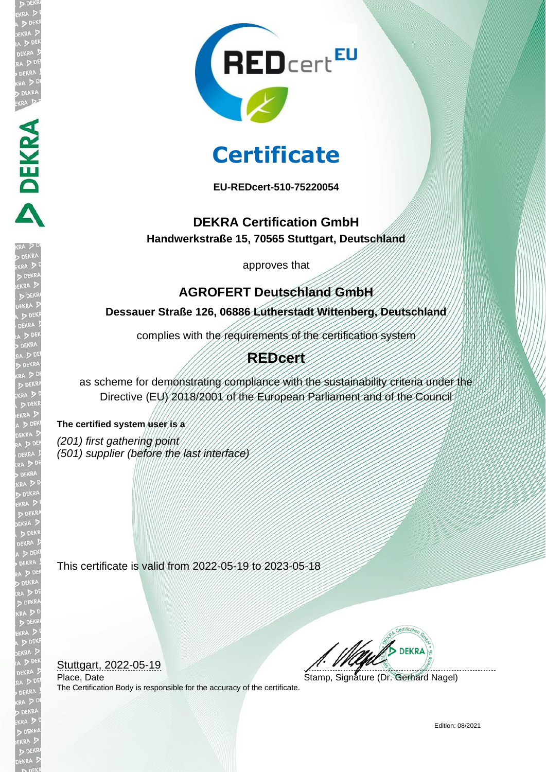

# **Certificate**

**EU-REDcert-510-75220054**

### **DEKRA Certification GmbH Handwerkstraße 15, 70565 Stuttgart, Deutschland**

approves that

## **AGROFERT Deutschland GmbH**

**Dessauer Straße 126, 06886 Lutherstadt Wittenberg, Deutschland**

complies with the requirements of the certification system

### **REDcert**

as scheme for demonstrating compliance with the sustainability criteria under the Directive (EU) 2018/2001 of the European Parliament and of the Council

**The certified system user is a**  *(201) first gathering point (501) supplier (before the last interface)*

**DEKRA SER** 

This certificate is valid from 2022-05-19 to 2023-05-18

Stuttgart, 2022-05-19

The Certification Body is responsible for the accuracy of the certificate.

**DEKRA** 

Place, Date Stamp, Signature (Dr. Gerhard Nagel)